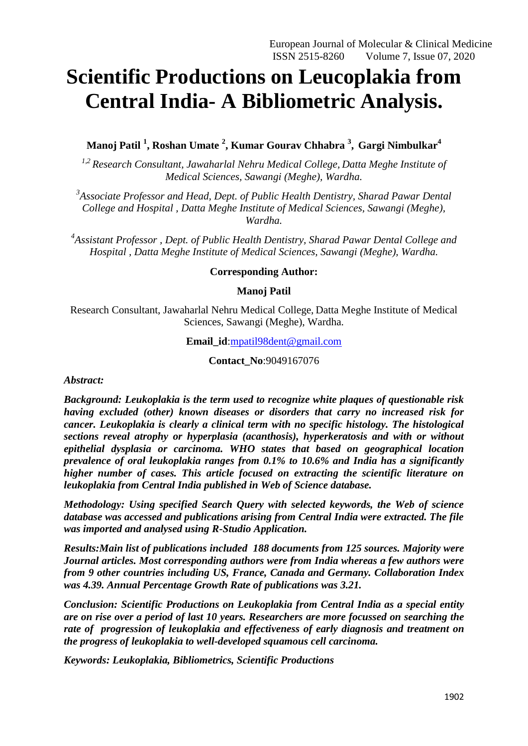# **Scientific Productions on Leucoplakia from Central India- A Bibliometric Analysis.**

**Manoj Patil <sup>1</sup> , Roshan Umate <sup>2</sup> , Kumar Gourav Chhabra <sup>3</sup> , Gargi Nimbulkar<sup>4</sup>**

*1,2 Research Consultant, Jawaharlal Nehru Medical College, Datta Meghe Institute of Medical Sciences, Sawangi (Meghe), Wardha.*

<sup>3</sup> Associate Professor and Head, Dept. of Public Health Dentistry, Sharad Pawar Dental *College and Hospital , Datta Meghe Institute of Medical Sciences, Sawangi (Meghe), Wardha.*

*4 Assistant Professor , Dept. of Public Health Dentistry, Sharad Pawar Dental College and Hospital , Datta Meghe Institute of Medical Sciences, Sawangi (Meghe), Wardha.*

## **Corresponding Author:**

## **Manoj Patil**

Research Consultant, Jawaharlal Nehru Medical College, Datta Meghe Institute of Medical Sciences, Sawangi (Meghe), Wardha.

**Email\_id**[:mpatil98dent@gmail.com](mailto:mpatil98dent@gmail.com)

**Contact\_No**:9049167076

*Abstract:*

*Background: Leukoplakia is the term used to recognize white plaques of questionable risk having excluded (other) known diseases or disorders that carry no increased risk for cancer. Leukoplakia is clearly a clinical term with no specific histology. The histological sections reveal atrophy or hyperplasia (acanthosis), hyperkeratosis and with or without epithelial dysplasia or carcinoma. WHO states that based on geographical location prevalence of oral leukoplakia ranges from 0.1% to 10.6% and India has a significantly higher number of cases. This article focused on extracting the scientific literature on leukoplakia from Central India published in Web of Science database.*

*Methodology: Using specified Search Query with selected keywords, the Web of science database was accessed and publications arising from Central India were extracted. The file was imported and analysed using R-Studio Application.*

*Results:Main list of publications included 188 documents from 125 sources. Majority were Journal articles. Most corresponding authors were from India whereas a few authors were from 9 other countries including US, France, Canada and Germany. Collaboration Index was 4.39. Annual Percentage Growth Rate of publications was 3.21.*

*Conclusion: Scientific Productions on Leukoplakia from Central India as a special entity are on rise over a period of last 10 years. Researchers are more focussed on searching the rate of progression of leukoplakia and effectiveness of early diagnosis and treatment on the progress of leukoplakia to well-developed squamous cell carcinoma.*

*Keywords: Leukoplakia, Bibliometrics, Scientific Productions*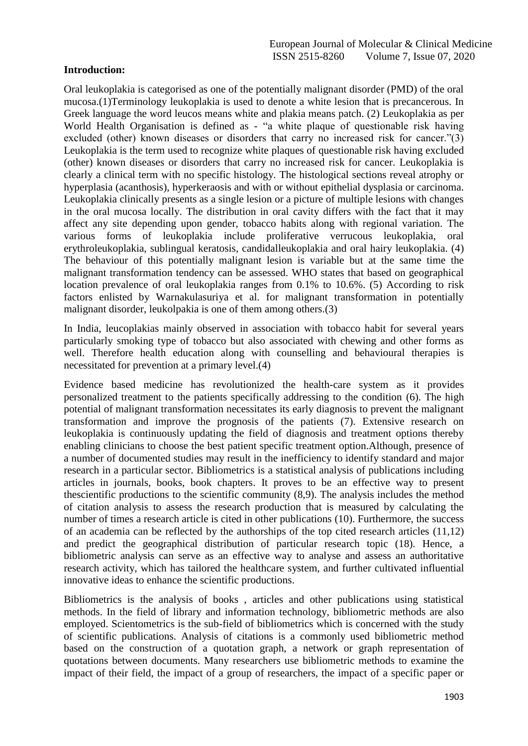# **Introduction:**

Oral leukoplakia is categorised as one of the potentially malignant disorder (PMD) of the oral mucosa.(1)Terminology leukoplakia is used to denote a white lesion that is precancerous. In Greek language the word leucos means white and plakia means patch. (2) Leukoplakia as per World Health Organisation is defined as - "a white plaque of questionable risk having excluded (other) known diseases or disorders that carry no increased risk for cancer." $(3)$ Leukoplakia is the term used to recognize white plaques of questionable risk having excluded (other) known diseases or disorders that carry no increased risk for cancer. Leukoplakia is clearly a clinical term with no specific histology. The histological sections reveal atrophy or hyperplasia (acanthosis), hyperkeraosis and with or without epithelial dysplasia or carcinoma. Leukoplakia clinically presents as a single lesion or a picture of multiple lesions with changes in the oral mucosa locally. The distribution in oral cavity differs with the fact that it may affect any site depending upon gender, tobacco habits along with regional variation. The various forms of leukoplakia include proliferative verrucous leukoplakia, oral erythroleukoplakia, sublingual keratosis, candidalleukoplakia and oral hairy leukoplakia. (4) The behaviour of this potentially malignant lesion is variable but at the same time the malignant transformation tendency can be assessed. WHO states that based on geographical location prevalence of oral leukoplakia ranges from 0.1% to 10.6%. (5) According to risk factors enlisted by Warnakulasuriya et al. for malignant transformation in potentially malignant disorder, leukolpakia is one of them among others.(3)

In India, leucoplakias mainly observed in association with tobacco habit for several years particularly smoking type of tobacco but also associated with chewing and other forms as well. Therefore health education along with counselling and behavioural therapies is necessitated for prevention at a primary level.(4)

Evidence based medicine has revolutionized the health-care system as it provides personalized treatment to the patients specifically addressing to the condition (6). The high potential of malignant transformation necessitates its early diagnosis to prevent the malignant transformation and improve the prognosis of the patients (7). Extensive research on leukoplakia is continuously updating the field of diagnosis and treatment options thereby enabling clinicians to choose the best patient specific treatment option.Although, presence of a number of documented studies may result in the inefficiency to identify standard and major research in a particular sector. Bibliometrics is a statistical analysis of publications including articles in journals, books, book chapters. It proves to be an effective way to present thescientific productions to the scientific community (8,9). The analysis includes the method of citation analysis to assess the research production that is measured by calculating the number of times a research article is cited in other publications (10). Furthermore, the success of an academia can be reflected by the authorships of the top cited research articles (11,12) and predict the geographical distribution of particular research topic (18). Hence, a bibliometric analysis can serve as an effective way to analyse and assess an authoritative research activity, which has tailored the healthcare system, and further cultivated influential innovative ideas to enhance the scientific productions.

Bibliometrics is the analysis of books , articles and other publications using statistical methods. In the field of library and information technology, bibliometric methods are also employed. Scientometrics is the sub-field of bibliometrics which is concerned with the study of scientific publications. Analysis of citations is a commonly used bibliometric method based on the construction of a quotation graph, a network or graph representation of quotations between documents. Many researchers use bibliometric methods to examine the impact of their field, the impact of a group of researchers, the impact of a specific paper or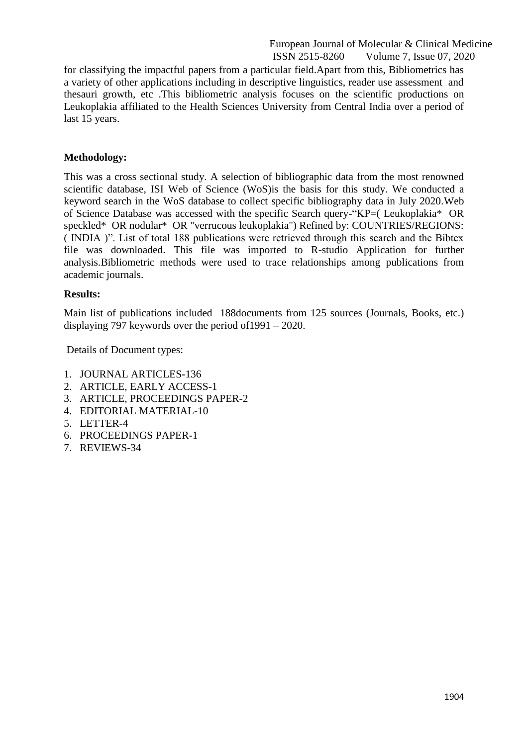for classifying the impactful papers from a particular field.Apart from this, Bibliometrics has a variety of other applications including in descriptive linguistics, reader use assessment and thesauri growth, etc .This bibliometric analysis focuses on the scientific productions on Leukoplakia affiliated to the Health Sciences University from Central India over a period of last 15 years.

## **Methodology:**

This was a cross sectional study. A selection of bibliographic data from the most renowned scientific database, ISI Web of Science (WoS)is the basis for this study. We conducted a keyword search in the WoS database to collect specific bibliography data in July 2020.Web of Science Database was accessed with the specific Search query-"KP=( Leukoplakia\* OR speckled\* OR nodular\* OR "verrucous leukoplakia") Refined by: COUNTRIES/REGIONS: ( INDIA )". List of total 188 publications were retrieved through this search and the Bibtex file was downloaded. This file was imported to R-studio Application for further analysis.Bibliometric methods were used to trace relationships among publications from academic journals.

## **Results:**

Main list of publications included 188documents from 125 sources (Journals, Books, etc.) displaying 797 keywords over the period of1991 – 2020.

Details of Document types:

- 1. JOURNAL ARTICLES-136
- 2. ARTICLE, EARLY ACCESS-1
- 3. ARTICLE, PROCEEDINGS PAPER-2
- 4. EDITORIAL MATERIAL-10
- 5. LETTER-4
- 6. PROCEEDINGS PAPER-1
- 7. REVIEWS-34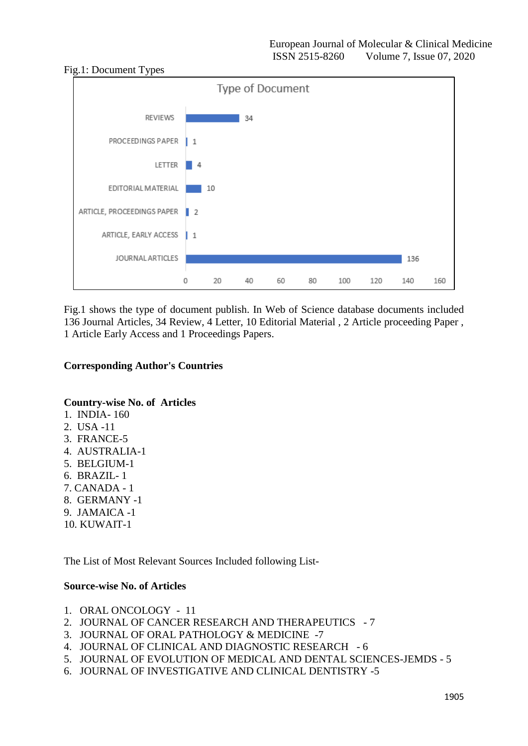

Fig.1 shows the type of document publish. In Web of Science database documents included 136 Journal Articles, 34 Review, 4 Letter, 10 Editorial Material , 2 Article proceeding Paper , 1 Article Early Access and 1 Proceedings Papers.

# **Corresponding Author's Countries**

## **Country-wise No. of Articles**

- 1. INDIA- 160
- 2. USA -11
- 3. FRANCE-5
- 4. AUSTRALIA-1
- 5. BELGIUM-1
- 6. BRAZIL- 1
- 7. CANADA 1
- 8. GERMANY -1
- 9. JAMAICA -1
- 10. KUWAIT-1

The List of Most Relevant Sources Included following List-

## **Source-wise No. of Articles**

- 1. ORAL ONCOLOGY 11
- 2. JOURNAL OF CANCER RESEARCH AND THERAPEUTICS 7
- 3. JOURNAL OF ORAL PATHOLOGY & MEDICINE -7
- 4. JOURNAL OF CLINICAL AND DIAGNOSTIC RESEARCH 6
- 5. JOURNAL OF EVOLUTION OF MEDICAL AND DENTAL SCIENCES-JEMDS 5
- 6. JOURNAL OF INVESTIGATIVE AND CLINICAL DENTISTRY -5

# Fig.1: Document Types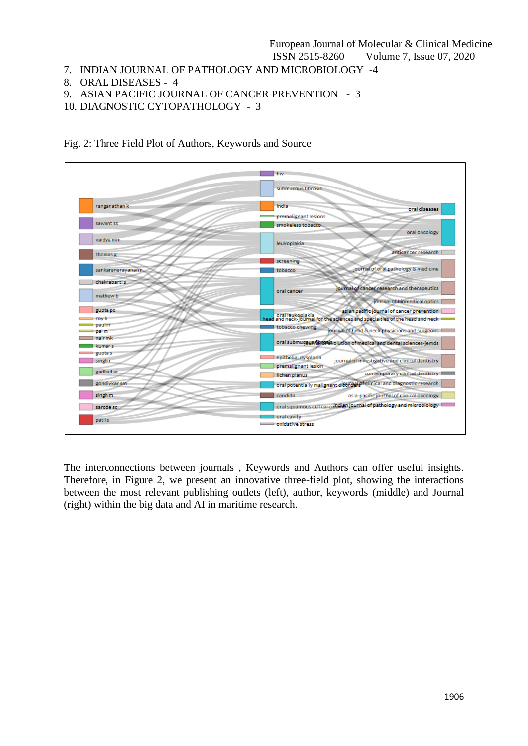- 7. INDIAN JOURNAL OF PATHOLOGY AND MICROBIOLOGY -4
- 8. ORAL DISEASES 4
- 9. ASIAN PACIFIC JOURNAL OF CANCER PREVENTION 3
- 10. DIAGNOSTIC CYTOPATHOLOGY 3



Fig. 2: Three Field Plot of Authors, Keywords and Source

The interconnections between journals , Keywords and Authors can offer useful insights. Therefore, in Figure 2, we present an innovative three-field plot, showing the interactions between the most relevant publishing outlets (left), author, keywords (middle) and Journal (right) within the big data and AI in maritime research.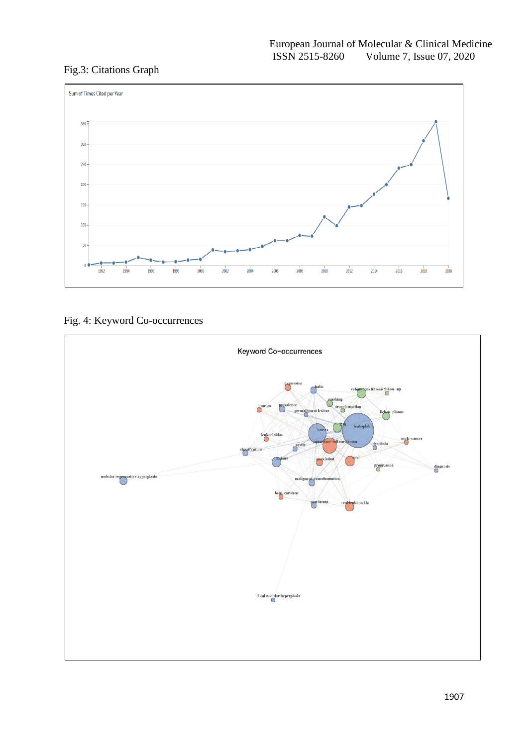# Fig.3: Citations Graph



# Fig. 4: Keyword Co-occurrences

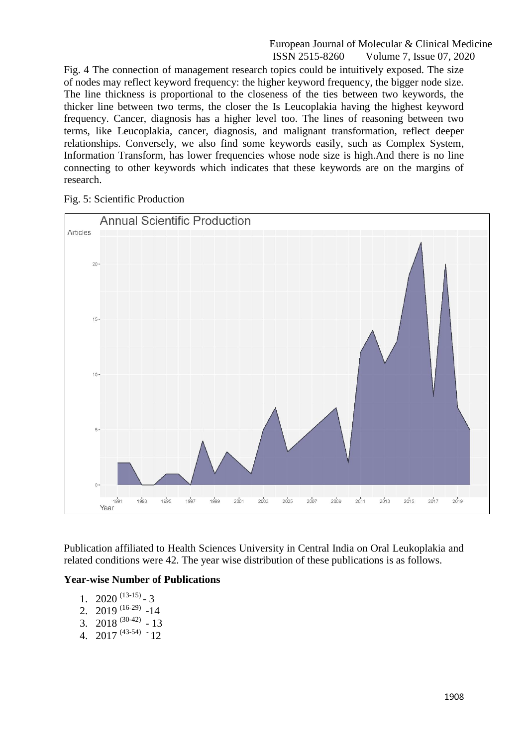Fig. 4 The connection of management research topics could be intuitively exposed. The size of nodes may reflect keyword frequency: the higher keyword frequency, the bigger node size. The line thickness is proportional to the closeness of the ties between two keywords, the thicker line between two terms, the closer the Is Leucoplakia having the highest keyword frequency. Cancer, diagnosis has a higher level too. The lines of reasoning between two terms, like Leucoplakia, cancer, diagnosis, and malignant transformation, reflect deeper relationships. Conversely, we also find some keywords easily, such as Complex System, Information Transform, has lower frequencies whose node size is high.And there is no line connecting to other keywords which indicates that these keywords are on the margins of research.

Fig. 5: Scientific Production



Publication affiliated to Health Sciences University in Central India on Oral Leukoplakia and related conditions were 42. The year wise distribution of these publications is as follows.

## **Year-wise Number of Publications**

- 1.  $2020^{(13-15)}$  3
- 2. 2019<sup>(16-29)</sup> -14
- 3. 2018<sup>(30-42)</sup> 13
- 4. 2017<sup>(43-54)</sup>  $-12$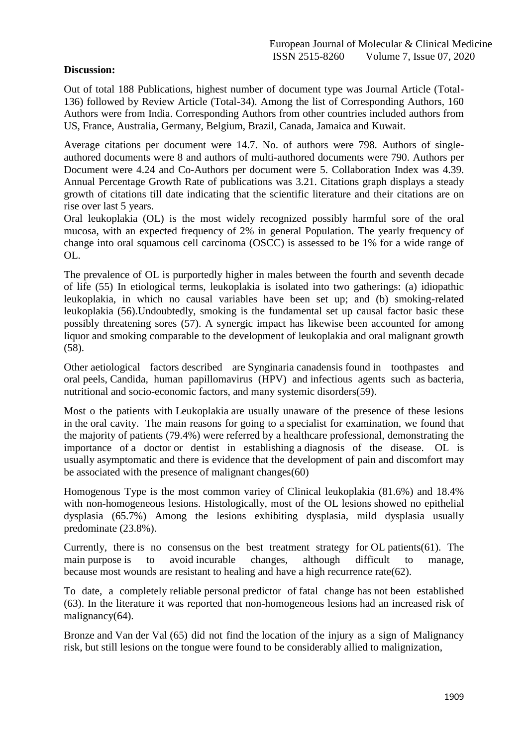# **Discussion:**

Out of total 188 Publications, highest number of document type was Journal Article (Total-136) followed by Review Article (Total-34). Among the list of Corresponding Authors, 160 Authors were from India. Corresponding Authors from other countries included authors from US, France, Australia, Germany, Belgium, Brazil, Canada, Jamaica and Kuwait.

Average citations per document were 14.7. No. of authors were 798. Authors of singleauthored documents were 8 and authors of multi-authored documents were 790. Authors per Document were 4.24 and Co-Authors per document were 5. Collaboration Index was 4.39. Annual Percentage Growth Rate of publications was 3.21. Citations graph displays a steady growth of citations till date indicating that the scientific literature and their citations are on rise over last 5 years.

Oral leukoplakia (OL) is the most widely recognized possibly harmful sore of the oral mucosa, with an expected frequency of 2% in general Population. The yearly frequency of change into oral squamous cell carcinoma (OSCC) is assessed to be 1% for a wide range of OL.

The prevalence of OL is purportedly higher in males between the fourth and seventh decade of life (55) In etiological terms, leukoplakia is isolated into two gatherings: (a) idiopathic leukoplakia, in which no causal variables have been set up; and (b) smoking-related leukoplakia (56).Undoubtedly, smoking is the fundamental set up causal factor basic these possibly threatening sores (57). A synergic impact has likewise been accounted for among liquor and smoking comparable to the development of leukoplakia and oral malignant growth (58).

Other aetiological factors described are Synginaria canadensis found in toothpastes and oral peels, Candida, human papillomavirus (HPV) and infectious agents such as bacteria, nutritional and socio-economic factors, and many systemic disorders(59).

Most o the patients with Leukoplakia are usually unaware of the presence of these lesions in the oral cavity. The main reasons for going to a specialist for examination, we found that the majority of patients (79.4%) were referred by a healthcare professional, demonstrating the importance of a doctor or dentist in establishing a diagnosis of the disease. OL is usually asymptomatic and there is evidence that the development of pain and discomfort may be associated with the presence of malignant changes(60)

Homogenous Type is the most common variey of Clinical leukoplakia (81.6%) and 18.4% with non-homogeneous lesions. Histologically, most of the OL lesions showed no epithelial dysplasia (65.7%) Among the lesions exhibiting dysplasia, mild dysplasia usually predominate (23.8%).

Currently, there is no consensus on the best treatment strategy for OL patients(61). The main purpose is to avoid incurable changes, although difficult to manage, because most wounds are resistant to healing and have a high recurrence rate(62).

To date, a completely reliable personal predictor of fatal change has not been established (63). In the literature it was reported that non-homogeneous lesions had an increased risk of malignancy(64).

Bronze and Van der Val (65) did not find the location of the injury as a sign of Malignancy risk, but still lesions on the tongue were found to be considerably allied to malignization,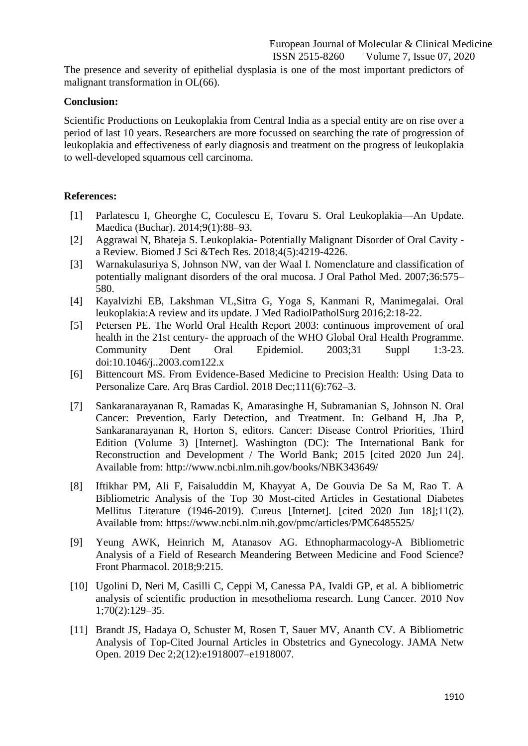The presence and severity of epithelial dysplasia is one of the most important predictors of malignant transformation in OL(66).

## **Conclusion:**

Scientific Productions on Leukoplakia from Central India as a special entity are on rise over a period of last 10 years. Researchers are more focussed on searching the rate of progression of leukoplakia and effectiveness of early diagnosis and treatment on the progress of leukoplakia to well-developed squamous cell carcinoma.

# **References:**

- [1] Parlatescu I, Gheorghe C, Coculescu E, Tovaru S. Oral Leukoplakia—An Update. Maedica (Buchar). 2014;9(1):88–93.
- [2] Aggrawal N, Bhateja S. Leukoplakia- Potentially Malignant Disorder of Oral Cavity a Review. Biomed J Sci &Tech Res. 2018;4(5):4219-4226.
- [3] Warnakulasuriya S, Johnson NW, van der Waal I. Nomenclature and classification of potentially malignant disorders of the oral mucosa. J Oral Pathol Med. 2007;36:575– 580.
- [4] Kayalvizhi EB, Lakshman VL,Sitra G, Yoga S, Kanmani R, Manimegalai. Oral leukoplakia:A review and its update. J Med RadiolPatholSurg 2016;2:18-22.
- [5] Petersen PE. The World Oral Health Report 2003: continuous improvement of oral health in the 21st century- the approach of the WHO Global Oral Health Programme. Community Dent Oral Epidemiol. 2003;31 Suppl 1:3-23. doi:10.1046/j..2003.com122.x
- [6] Bittencourt MS. From Evidence-Based Medicine to Precision Health: Using Data to Personalize Care. Arq Bras Cardiol. 2018 Dec;111(6):762–3.
- [7] Sankaranarayanan R, Ramadas K, Amarasinghe H, Subramanian S, Johnson N. Oral Cancer: Prevention, Early Detection, and Treatment. In: Gelband H, Jha P, Sankaranarayanan R, Horton S, editors. Cancer: Disease Control Priorities, Third Edition (Volume 3) [Internet]. Washington (DC): The International Bank for Reconstruction and Development / The World Bank; 2015 [cited 2020 Jun 24]. Available from: http://www.ncbi.nlm.nih.gov/books/NBK343649/
- [8] Iftikhar PM, Ali F, Faisaluddin M, Khayyat A, De Gouvia De Sa M, Rao T. A Bibliometric Analysis of the Top 30 Most-cited Articles in Gestational Diabetes Mellitus Literature (1946-2019). Cureus [Internet]. [cited 2020 Jun 18];11(2). Available from: https://www.ncbi.nlm.nih.gov/pmc/articles/PMC6485525/
- [9] Yeung AWK, Heinrich M, Atanasov AG. Ethnopharmacology-A Bibliometric Analysis of a Field of Research Meandering Between Medicine and Food Science? Front Pharmacol. 2018;9:215.
- [10] Ugolini D, Neri M, Casilli C, Ceppi M, Canessa PA, Ivaldi GP, et al. A bibliometric analysis of scientific production in mesothelioma research. Lung Cancer. 2010 Nov 1;70(2):129–35.
- [11] Brandt JS, Hadaya O, Schuster M, Rosen T, Sauer MV, Ananth CV. A Bibliometric Analysis of Top-Cited Journal Articles in Obstetrics and Gynecology. JAMA Netw Open. 2019 Dec 2;2(12):e1918007–e1918007.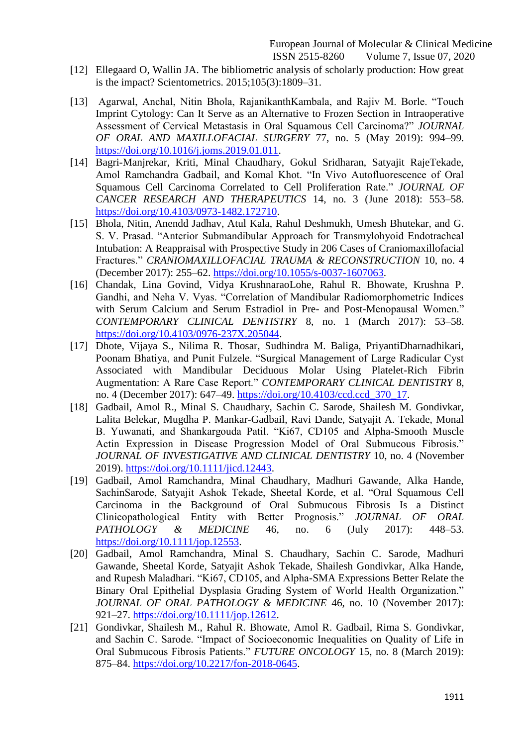- [12] Ellegaard O, Wallin JA. The bibliometric analysis of scholarly production: How great is the impact? Scientometrics. 2015;105(3):1809–31.
- [13] Agarwal, Anchal, Nitin Bhola, RajanikanthKambala, and Rajiv M. Borle. "Touch Imprint Cytology: Can It Serve as an Alternative to Frozen Section in Intraoperative Assessment of Cervical Metastasis in Oral Squamous Cell Carcinoma?" *JOURNAL OF ORAL AND MAXILLOFACIAL SURGERY* 77, no. 5 (May 2019): 994–99. [https://doi.org/10.1016/j.joms.2019.01.011.](https://doi.org/10.1016/j.joms.2019.01.011)
- [14] Bagri-Manjrekar, Kriti, Minal Chaudhary, Gokul Sridharan, Satyajit RajeTekade, Amol Ramchandra Gadbail, and Komal Khot. "In Vivo Autofluorescence of Oral Squamous Cell Carcinoma Correlated to Cell Proliferation Rate." *JOURNAL OF CANCER RESEARCH AND THERAPEUTICS* 14, no. 3 (June 2018): 553–58. [https://doi.org/10.4103/0973-1482.172710.](https://doi.org/10.4103/0973-1482.172710)
- [15] Bhola, Nitin, Anendd Jadhav, Atul Kala, Rahul Deshmukh, Umesh Bhutekar, and G. S. V. Prasad. "Anterior Submandibular Approach for Transmylohyoid Endotracheal Intubation: A Reappraisal with Prospective Study in 206 Cases of Craniomaxillofacial Fractures.‖ *CRANIOMAXILLOFACIAL TRAUMA & RECONSTRUCTION* 10, no. 4 (December 2017): 255–62. [https://doi.org/10.1055/s-0037-1607063.](https://doi.org/10.1055/s-0037-1607063)
- [16] Chandak, Lina Govind, Vidya KrushnaraoLohe, Rahul R. Bhowate, Krushna P. Gandhi, and Neha V. Vyas. "Correlation of Mandibular Radiomorphometric Indices with Serum Calcium and Serum Estradiol in Pre- and Post-Menopausal Women." *CONTEMPORARY CLINICAL DENTISTRY* 8, no. 1 (March 2017): 53–58. [https://doi.org/10.4103/0976-237X.205044.](https://doi.org/10.4103/0976-237X.205044)
- [17] Dhote, Vijaya S., Nilima R. Thosar, Sudhindra M. Baliga, PriyantiDharnadhikari, Poonam Bhatiya, and Punit Fulzele. "Surgical Management of Large Radicular Cyst Associated with Mandibular Deciduous Molar Using Platelet-Rich Fibrin Augmentation: A Rare Case Report." *CONTEMPORARY CLINICAL DENTISTRY* 8, no. 4 (December 2017): 647–49. [https://doi.org/10.4103/ccd.ccd\\_370\\_17.](https://doi.org/10.4103/ccd.ccd_370_17)
- [18] Gadbail, Amol R., Minal S. Chaudhary, Sachin C. Sarode, Shailesh M. Gondivkar, Lalita Belekar, Mugdha P. Mankar-Gadbail, Ravi Dande, Satyajit A. Tekade, Monal B. Yuwanati, and Shankargouda Patil. "Ki67, CD105 and Alpha-Smooth Muscle Actin Expression in Disease Progression Model of Oral Submucous Fibrosis." *JOURNAL OF INVESTIGATIVE AND CLINICAL DENTISTRY* 10, no. 4 (November 2019). [https://doi.org/10.1111/jicd.12443.](https://doi.org/10.1111/jicd.12443)
- [19] Gadbail, Amol Ramchandra, Minal Chaudhary, Madhuri Gawande, Alka Hande, SachinSarode, Satyajit Ashok Tekade, Sheetal Korde, et al. "Oral Squamous Cell Carcinoma in the Background of Oral Submucous Fibrosis Is a Distinct Clinicopathological Entity with Better Prognosis." JOURNAL OF ORAL *PATHOLOGY & MEDICINE* 46, no. 6 (July 2017): 448–53. [https://doi.org/10.1111/jop.12553.](https://doi.org/10.1111/jop.12553)
- [20] Gadbail, Amol Ramchandra, Minal S. Chaudhary, Sachin C. Sarode, Madhuri Gawande, Sheetal Korde, Satyajit Ashok Tekade, Shailesh Gondivkar, Alka Hande, and Rupesh Maladhari. "Ki67, CD105, and Alpha-SMA Expressions Better Relate the Binary Oral Epithelial Dysplasia Grading System of World Health Organization." *JOURNAL OF ORAL PATHOLOGY & MEDICINE* 46, no. 10 (November 2017): 921–27. [https://doi.org/10.1111/jop.12612.](https://doi.org/10.1111/jop.12612)
- [21] Gondivkar, Shailesh M., Rahul R. Bhowate, Amol R. Gadbail, Rima S. Gondivkar, and Sachin C. Sarode. "Impact of Socioeconomic Inequalities on Quality of Life in Oral Submucous Fibrosis Patients." **FUTURE ONCOLOGY** 15, no. 8 (March 2019): 875–84. [https://doi.org/10.2217/fon-2018-0645.](https://doi.org/10.2217/fon-2018-0645)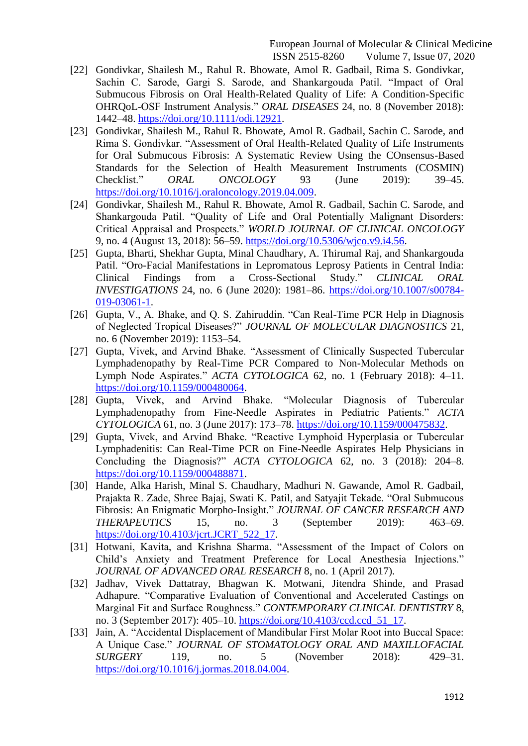- [22] Gondivkar, Shailesh M., Rahul R. Bhowate, Amol R. Gadbail, Rima S. Gondivkar, Sachin C. Sarode, Gargi S. Sarode, and Shankargouda Patil. "Impact of Oral Submucous Fibrosis on Oral Health-Related Quality of Life: A Condition-Specific OHRQoL-OSF Instrument Analysis.‖ *ORAL DISEASES* 24, no. 8 (November 2018): 1442–48. [https://doi.org/10.1111/odi.12921.](https://doi.org/10.1111/odi.12921)
- [23] Gondivkar, Shailesh M., Rahul R. Bhowate, Amol R. Gadbail, Sachin C. Sarode, and Rima S. Gondivkar. "Assessment of Oral Health-Related Quality of Life Instruments for Oral Submucous Fibrosis: A Systematic Review Using the COnsensus-Based Standards for the Selection of Health Measurement Instruments (COSMIN) Checklist.‖ *ORAL ONCOLOGY* 93 (June 2019): 39–45. [https://doi.org/10.1016/j.oraloncology.2019.04.009.](https://doi.org/10.1016/j.oraloncology.2019.04.009)
- [24] Gondivkar, Shailesh M., Rahul R. Bhowate, Amol R. Gadbail, Sachin C. Sarode, and Shankargouda Patil. "Quality of Life and Oral Potentially Malignant Disorders: Critical Appraisal and Prospects.‖ *WORLD JOURNAL OF CLINICAL ONCOLOGY* 9, no. 4 (August 13, 2018): 56–59. [https://doi.org/10.5306/wjco.v9.i4.56.](https://doi.org/10.5306/wjco.v9.i4.56)
- [25] Gupta, Bharti, Shekhar Gupta, Minal Chaudhary, A. Thirumal Raj, and Shankargouda Patil. "Oro-Facial Manifestations in Lepromatous Leprosy Patients in Central India: Clinical Findings from a Cross-Sectional Study.‖ *CLINICAL ORAL INVESTIGATIONS* 24, no. 6 (June 2020): 1981–86. [https://doi.org/10.1007/s00784-](https://doi.org/10.1007/s00784-019-03061-1) [019-03061-1.](https://doi.org/10.1007/s00784-019-03061-1)
- [26] Gupta, V., A. Bhake, and Q. S. Zahiruddin. "Can Real-Time PCR Help in Diagnosis of Neglected Tropical Diseases?‖ *JOURNAL OF MOLECULAR DIAGNOSTICS* 21, no. 6 (November 2019): 1153–54.
- [27] Gupta, Vivek, and Arvind Bhake. "Assessment of Clinically Suspected Tubercular Lymphadenopathy by Real-Time PCR Compared to Non-Molecular Methods on Lymph Node Aspirates.‖ *ACTA CYTOLOGICA* 62, no. 1 (February 2018): 4–11. [https://doi.org/10.1159/000480064.](https://doi.org/10.1159/000480064)
- [28] Gupta, Vivek, and Arvind Bhake. "Molecular Diagnosis of Tubercular Lymphadenopathy from Fine-Needle Aspirates in Pediatric Patients." *ACTA CYTOLOGICA* 61, no. 3 (June 2017): 173–78. [https://doi.org/10.1159/000475832.](https://doi.org/10.1159/000475832)
- [29] Gupta, Vivek, and Arvind Bhake. "Reactive Lymphoid Hyperplasia or Tubercular Lymphadenitis: Can Real-Time PCR on Fine-Needle Aspirates Help Physicians in Concluding the Diagnosis?" *ACTA CYTOLOGICA* 62, no. 3 (2018): 204–8. [https://doi.org/10.1159/000488871.](https://doi.org/10.1159/000488871)
- [30] Hande, Alka Harish, Minal S. Chaudhary, Madhuri N. Gawande, Amol R. Gadbail, Prajakta R. Zade, Shree Bajaj, Swati K. Patil, and Satyajit Tekade. "Oral Submucous Fibrosis: An Enigmatic Morpho-Insight.‖ *JOURNAL OF CANCER RESEARCH AND THERAPEUTICS* 15, no. 3 (September 2019): 463–69. [https://doi.org/10.4103/jcrt.JCRT\\_522\\_17.](https://doi.org/10.4103/jcrt.JCRT_522_17)
- [31] Hotwani, Kavita, and Krishna Sharma. "Assessment of the Impact of Colors on Child's Anxiety and Treatment Preference for Local Anesthesia Injections." *JOURNAL OF ADVANCED ORAL RESEARCH* 8, no. 1 (April 2017).
- [32] Jadhav, Vivek Dattatray, Bhagwan K. Motwani, Jitendra Shinde, and Prasad Adhapure. "Comparative Evaluation of Conventional and Accelerated Castings on Marginal Fit and Surface Roughness.‖ *CONTEMPORARY CLINICAL DENTISTRY* 8, no. 3 (September 2017): 405–10. [https://doi.org/10.4103/ccd.ccd\\_51\\_17.](https://doi.org/10.4103/ccd.ccd_51_17)
- [33] Jain, A. "Accidental Displacement of Mandibular First Molar Root into Buccal Space: A Unique Case.‖ *JOURNAL OF STOMATOLOGY ORAL AND MAXILLOFACIAL SURGERY* 119, no. 5 (November 2018): 429–31. [https://doi.org/10.1016/j.jormas.2018.04.004.](https://doi.org/10.1016/j.jormas.2018.04.004)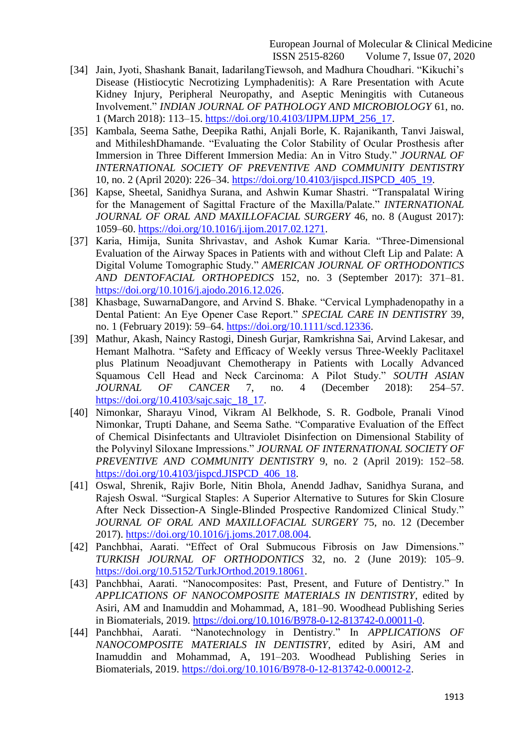- [34] Jain, Jyoti, Shashank Banait, IadarilangTiewsoh, and Madhura Choudhari. "Kikuchi's Disease (Histiocytic Necrotizing Lymphadenitis): A Rare Presentation with Acute Kidney Injury, Peripheral Neuropathy, and Aseptic Meningitis with Cutaneous Involvement.‖ *INDIAN JOURNAL OF PATHOLOGY AND MICROBIOLOGY* 61, no. 1 (March 2018): 113–15. [https://doi.org/10.4103/IJPM.IJPM\\_256\\_17.](https://doi.org/10.4103/IJPM.IJPM_256_17)
- [35] Kambala, Seema Sathe, Deepika Rathi, Anjali Borle, K. Rajanikanth, Tanvi Jaiswal, and MithileshDhamande. "Evaluating the Color Stability of Ocular Prosthesis after Immersion in Three Different Immersion Media: An in Vitro Study." *JOURNAL OF INTERNATIONAL SOCIETY OF PREVENTIVE AND COMMUNITY DENTISTRY* 10, no. 2 (April 2020): 226–34. [https://doi.org/10.4103/jispcd.JISPCD\\_405\\_19.](https://doi.org/10.4103/jispcd.JISPCD_405_19)
- [36] Kapse, Sheetal, Sanidhya Surana, and Ashwin Kumar Shastri. "Transpalatal Wiring for the Management of Sagittal Fracture of the Maxilla/Palate." *INTERNATIONAL JOURNAL OF ORAL AND MAXILLOFACIAL SURGERY* 46, no. 8 (August 2017): 1059–60. [https://doi.org/10.1016/j.ijom.2017.02.1271.](https://doi.org/10.1016/j.ijom.2017.02.1271)
- [37] Karia, Himija, Sunita Shrivastav, and Ashok Kumar Karia. "Three-Dimensional Evaluation of the Airway Spaces in Patients with and without Cleft Lip and Palate: A Digital Volume Tomographic Study.‖ *AMERICAN JOURNAL OF ORTHODONTICS AND DENTOFACIAL ORTHOPEDICS* 152, no. 3 (September 2017): 371–81. [https://doi.org/10.1016/j.ajodo.2016.12.026.](https://doi.org/10.1016/j.ajodo.2016.12.026)
- [38] Khasbage, SuwarnaDangore, and Arvind S. Bhake. "Cervical Lymphadenopathy in a Dental Patient: An Eye Opener Case Report." *SPECIAL CARE IN DENTISTRY* 39, no. 1 (February 2019): 59–64. [https://doi.org/10.1111/scd.12336.](https://doi.org/10.1111/scd.12336)
- [39] Mathur, Akash, Naincy Rastogi, Dinesh Gurjar, Ramkrishna Sai, Arvind Lakesar, and Hemant Malhotra. "Safety and Efficacy of Weekly versus Three-Weekly Paclitaxel plus Platinum Neoadjuvant Chemotherapy in Patients with Locally Advanced Squamous Cell Head and Neck Carcinoma: A Pilot Study." *SOUTH ASIAN JOURNAL OF CANCER* 7, no. 4 (December 2018): 254–57. [https://doi.org/10.4103/sajc.sajc\\_18\\_17.](https://doi.org/10.4103/sajc.sajc_18_17)
- [40] Nimonkar, Sharayu Vinod, Vikram Al Belkhode, S. R. Godbole, Pranali Vinod Nimonkar, Trupti Dahane, and Seema Sathe. "Comparative Evaluation of the Effect of Chemical Disinfectants and Ultraviolet Disinfection on Dimensional Stability of the Polyvinyl Siloxane Impressions.‖ *JOURNAL OF INTERNATIONAL SOCIETY OF PREVENTIVE AND COMMUNITY DENTISTRY* 9, no. 2 (April 2019): 152–58. [https://doi.org/10.4103/jispcd.JISPCD\\_406\\_18.](https://doi.org/10.4103/jispcd.JISPCD_406_18)
- [41] Oswal, Shrenik, Rajiv Borle, Nitin Bhola, Anendd Jadhav, Sanidhya Surana, and Rajesh Oswal. "Surgical Staples: A Superior Alternative to Sutures for Skin Closure After Neck Dissection-A Single-Blinded Prospective Randomized Clinical Study." *JOURNAL OF ORAL AND MAXILLOFACIAL SURGERY* 75, no. 12 (December 2017). [https://doi.org/10.1016/j.joms.2017.08.004.](https://doi.org/10.1016/j.joms.2017.08.004)
- [42] Panchbhai, Aarati. "Effect of Oral Submucous Fibrosis on Jaw Dimensions." *TURKISH JOURNAL OF ORTHODONTICS* 32, no. 2 (June 2019): 105–9. [https://doi.org/10.5152/TurkJOrthod.2019.18061.](https://doi.org/10.5152/TurkJOrthod.2019.18061)
- [43] Panchbhai, Aarati. "Nanocomposites: Past, Present, and Future of Dentistry." In *APPLICATIONS OF NANOCOMPOSITE MATERIALS IN DENTISTRY*, edited by Asiri, AM and Inamuddin and Mohammad, A, 181–90. Woodhead Publishing Series in Biomaterials, 2019. [https://doi.org/10.1016/B978-0-12-813742-0.00011-0.](https://doi.org/10.1016/B978-0-12-813742-0.00011-0)
- [44] Panchbhai, Aarati. 
"Nanotechnology in Dentistry." In *APPLICATIONS OF NANOCOMPOSITE MATERIALS IN DENTISTRY*, edited by Asiri, AM and Inamuddin and Mohammad, A, 191–203. Woodhead Publishing Series in Biomaterials, 2019. [https://doi.org/10.1016/B978-0-12-813742-0.00012-2.](https://doi.org/10.1016/B978-0-12-813742-0.00012-2)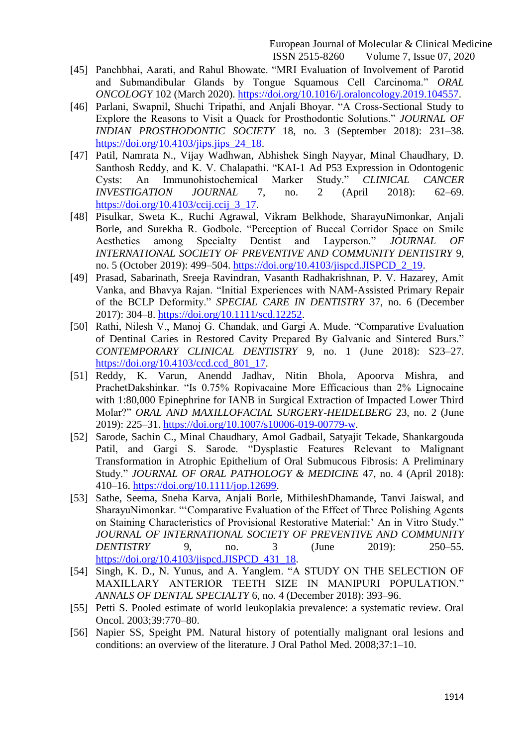- [45] Panchbhai, Aarati, and Rahul Bhowate. "MRI Evaluation of Involvement of Parotid and Submandibular Glands by Tongue Squamous Cell Carcinoma." ORAL *ONCOLOGY* 102 (March 2020). [https://doi.org/10.1016/j.oraloncology.2019.104557.](https://doi.org/10.1016/j.oraloncology.2019.104557)
- [46] Parlani, Swapnil, Shuchi Tripathi, and Anjali Bhoyar. "A Cross-Sectional Study to Explore the Reasons to Visit a Quack for Prosthodontic Solutions." *JOURNAL OF INDIAN PROSTHODONTIC SOCIETY* 18, no. 3 (September 2018): 231–38. https://doi.org/10.4103/jips.jips 24 18.
- [47] Patil, Namrata N., Vijay Wadhwan, Abhishek Singh Nayyar, Minal Chaudhary, D. Santhosh Reddy, and K. V. Chalapathi. "KAI-1 Ad P53 Expression in Odontogenic Cysts: An Immunohistochemical Marker Study.‖ *CLINICAL CANCER INVESTIGATION JOURNAL* 7, no. 2 (April 2018): 62–69. [https://doi.org/10.4103/ccij.ccij\\_3\\_17.](https://doi.org/10.4103/ccij.ccij_3_17)
- [48] Pisulkar, Sweta K., Ruchi Agrawal, Vikram Belkhode, SharayuNimonkar, Anjali Borle, and Surekha R. Godbole. "Perception of Buccal Corridor Space on Smile Aesthetics among Specialty Dentist and Layperson." *JOURNAL OF INTERNATIONAL SOCIETY OF PREVENTIVE AND COMMUNITY DENTISTRY* 9, no. 5 (October 2019): 499–504. [https://doi.org/10.4103/jispcd.JISPCD\\_2\\_19.](https://doi.org/10.4103/jispcd.JISPCD_2_19)
- [49] Prasad, Sabarinath, Sreeja Ravindran, Vasanth Radhakrishnan, P. V. Hazarey, Amit Vanka, and Bhavya Rajan. "Initial Experiences with NAM-Assisted Primary Repair of the BCLP Deformity." SPECIAL CARE IN DENTISTRY 37, no. 6 (December 2017): 304–8. [https://doi.org/10.1111/scd.12252.](https://doi.org/10.1111/scd.12252)
- [50] Rathi, Nilesh V., Manoj G. Chandak, and Gargi A. Mude. "Comparative Evaluation of Dentinal Caries in Restored Cavity Prepared By Galvanic and Sintered Burs." *CONTEMPORARY CLINICAL DENTISTRY* 9, no. 1 (June 2018): S23–27. [https://doi.org/10.4103/ccd.ccd\\_801\\_17.](https://doi.org/10.4103/ccd.ccd_801_17)
- [51] Reddy, K. Varun, Anendd Jadhav, Nitin Bhola, Apoorva Mishra, and PrachetDakshinkar. "Is 0.75% Ropivacaine More Efficacious than 2% Lignocaine with 1:80,000 Epinephrine for IANB in Surgical Extraction of Impacted Lower Third Molar?‖ *ORAL AND MAXILLOFACIAL SURGERY-HEIDELBERG* 23, no. 2 (June 2019): 225–31. [https://doi.org/10.1007/s10006-019-00779-w.](https://doi.org/10.1007/s10006-019-00779-w)
- [52] Sarode, Sachin C., Minal Chaudhary, Amol Gadbail, Satyajit Tekade, Shankargouda Patil, and Gargi S. Sarode. "Dysplastic Features Relevant to Malignant Transformation in Atrophic Epithelium of Oral Submucous Fibrosis: A Preliminary Study." *JOURNAL OF ORAL PATHOLOGY & MEDICINE* 47, no. 4 (April 2018): 410–16. [https://doi.org/10.1111/jop.12699.](https://doi.org/10.1111/jop.12699)
- [53] Sathe, Seema, Sneha Karva, Anjali Borle, MithileshDhamande, Tanvi Jaiswal, and SharayuNimonkar. "Comparative Evaluation of the Effect of Three Polishing Agents on Staining Characteristics of Provisional Restorative Material:' An in Vitro Study." *JOURNAL OF INTERNATIONAL SOCIETY OF PREVENTIVE AND COMMUNITY DENTISTRY* 9, no. 3 (June 2019): 250–55. [https://doi.org/10.4103/jispcd.JISPCD\\_431\\_18.](https://doi.org/10.4103/jispcd.JISPCD_431_18)
- [54] Singh, K. D., N. Yunus, and A. Yanglem. "A STUDY ON THE SELECTION OF MAXILLARY ANTERIOR TEETH SIZE IN MANIPURI POPULATION." *ANNALS OF DENTAL SPECIALTY* 6, no. 4 (December 2018): 393–96.
- [55] Petti S. Pooled estimate of world leukoplakia prevalence: a systematic review. Oral Oncol. 2003;39:770–80.
- [56] Napier SS, Speight PM. Natural history of potentially malignant oral lesions and conditions: an overview of the literature. J Oral Pathol Med. 2008;37:1–10.